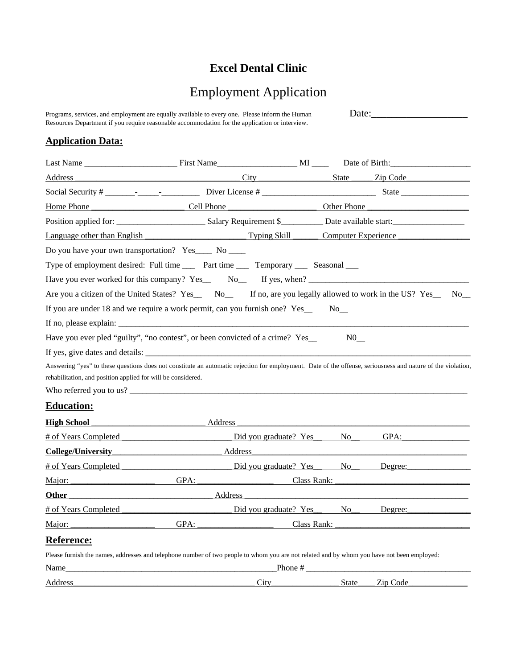## **Excel Dental Clinic**

## Employment Application

Programs, services, and employment are equally available to every one. Please inform the Human Date:\_\_\_\_\_\_\_\_\_\_\_\_\_\_\_\_\_\_\_ Resources Department if you require reasonable accommodation for the application or interview.

## **Application Data:**

| Last Name                                                                                                                                                                                                                   | First Name                                                  | MI                               | Date of Birth:        |          |    |  |  |
|-----------------------------------------------------------------------------------------------------------------------------------------------------------------------------------------------------------------------------|-------------------------------------------------------------|----------------------------------|-----------------------|----------|----|--|--|
| Address                                                                                                                                                                                                                     |                                                             | City                             | <b>State</b>          | Zip Code |    |  |  |
|                                                                                                                                                                                                                             | Diver License #                                             |                                  |                       | State    |    |  |  |
| Home Phone                                                                                                                                                                                                                  | <b>Cell Phone</b>                                           |                                  | Other Phone           |          |    |  |  |
| Position applied for:                                                                                                                                                                                                       |                                                             | Salary Requirement \$            | Date available start: |          |    |  |  |
| Language other than English                                                                                                                                                                                                 |                                                             | Typing Skill                     | Computer Experience   |          |    |  |  |
| Do you have your own transportation? Yes____ No ____                                                                                                                                                                        |                                                             |                                  |                       |          |    |  |  |
| Type of employment desired: Full time _____ Part time _____ Temporary _____ Seasonal ____                                                                                                                                   |                                                             |                                  |                       |          |    |  |  |
|                                                                                                                                                                                                                             |                                                             |                                  |                       |          |    |  |  |
| Are you a citizen of the United States? Yes_ No_ If no, are you legally allowed to work in the US? Yes_                                                                                                                     |                                                             |                                  |                       |          | No |  |  |
| If you are under 18 and we require a work permit, can you furnish one? Yes_                                                                                                                                                 |                                                             |                                  | $No$ <sub>_</sub> __  |          |    |  |  |
|                                                                                                                                                                                                                             |                                                             |                                  |                       |          |    |  |  |
| Have you ever pled "guilty", "no contest", or been convicted of a crime? Yes_                                                                                                                                               |                                                             |                                  |                       |          |    |  |  |
|                                                                                                                                                                                                                             |                                                             |                                  |                       |          |    |  |  |
| Answering "yes" to these questions does not constitute an automatic rejection for employment. Date of the offense, seriousness and nature of the violation,<br>rehabilitation, and position applied for will be considered. |                                                             |                                  |                       |          |    |  |  |
| <b>Education:</b>                                                                                                                                                                                                           |                                                             |                                  |                       |          |    |  |  |
| <b>High School</b>                                                                                                                                                                                                          | Address<br><u> 1989 - Johann Barbara, martin da kasar A</u> |                                  |                       |          |    |  |  |
| # of Years Completed                                                                                                                                                                                                        |                                                             | Did you graduate? Yes            | No.                   | GPA:     |    |  |  |
| <b>College/University</b>                                                                                                                                                                                                   | Address                                                     |                                  |                       |          |    |  |  |
| # of Years Completed                                                                                                                                                                                                        |                                                             | Did you graduate? Yes No         |                       | Degree:  |    |  |  |
| Major:                                                                                                                                                                                                                      | GPA:                                                        | Class Rank:                      |                       |          |    |  |  |
| Other                                                                                                                                                                                                                       | Address                                                     |                                  |                       |          |    |  |  |
| # of Years Completed                                                                                                                                                                                                        |                                                             | Did you graduate? Yes No Degree: |                       |          |    |  |  |
| Major:                                                                                                                                                                                                                      |                                                             | GPA:<br>Class Rank:              |                       |          |    |  |  |
| <b>Reference:</b>                                                                                                                                                                                                           |                                                             |                                  |                       |          |    |  |  |
| Please furnish the names, addresses and telephone number of two people to whom you are not related and by whom you have not been employed:                                                                                  |                                                             |                                  |                       |          |    |  |  |
| Name                                                                                                                                                                                                                        |                                                             | Phone #                          |                       |          |    |  |  |
| Address                                                                                                                                                                                                                     |                                                             | City                             | <b>State</b>          | Zip Code |    |  |  |